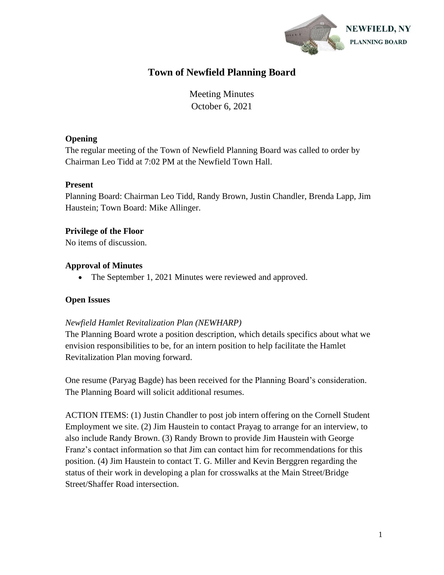

# **Town of Newfield Planning Board**

Meeting Minutes October 6, 2021

# **Opening**

The regular meeting of the Town of Newfield Planning Board was called to order by Chairman Leo Tidd at 7:02 PM at the Newfield Town Hall.

# **Present**

Planning Board: Chairman Leo Tidd, Randy Brown, Justin Chandler, Brenda Lapp, Jim Haustein; Town Board: Mike Allinger.

# **Privilege of the Floor**

No items of discussion.

# **Approval of Minutes**

• The September 1, 2021 Minutes were reviewed and approved.

# **Open Issues**

# *Newfield Hamlet Revitalization Plan (NEWHARP)*

The Planning Board wrote a position description, which details specifics about what we envision responsibilities to be, for an intern position to help facilitate the Hamlet Revitalization Plan moving forward.

One resume (Paryag Bagde) has been received for the Planning Board's consideration. The Planning Board will solicit additional resumes.

ACTION ITEMS: (1) Justin Chandler to post job intern offering on the Cornell Student Employment we site. (2) Jim Haustein to contact Prayag to arrange for an interview, to also include Randy Brown. (3) Randy Brown to provide Jim Haustein with George Franz's contact information so that Jim can contact him for recommendations for this position. (4) Jim Haustein to contact T. G. Miller and Kevin Berggren regarding the status of their work in developing a plan for crosswalks at the Main Street/Bridge Street/Shaffer Road intersection.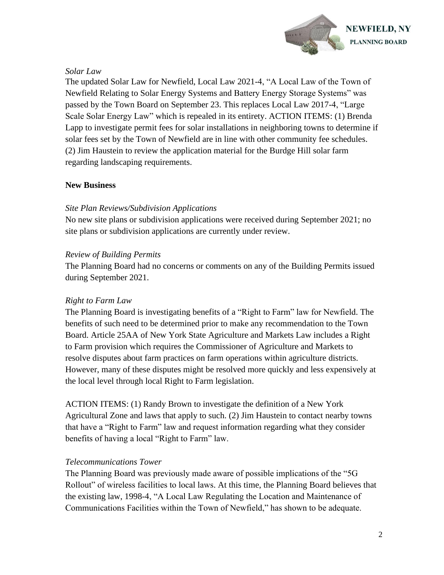

# *Solar Law*

The updated Solar Law for Newfield, Local Law 2021-4, "A Local Law of the Town of Newfield Relating to Solar Energy Systems and Battery Energy Storage Systems" was passed by the Town Board on September 23. This replaces Local Law 2017-4, "Large Scale Solar Energy Law" which is repealed in its entirety. ACTION ITEMS: (1) Brenda Lapp to investigate permit fees for solar installations in neighboring towns to determine if solar fees set by the Town of Newfield are in line with other community fee schedules. (2) Jim Haustein to review the application material for the Burdge Hill solar farm regarding landscaping requirements.

# **New Business**

#### *Site Plan Reviews/Subdivision Applications*

No new site plans or subdivision applications were received during September 2021; no site plans or subdivision applications are currently under review.

#### *Review of Building Permits*

The Planning Board had no concerns or comments on any of the Building Permits issued during September 2021.

# *Right to Farm Law*

The Planning Board is investigating benefits of a "Right to Farm" law for Newfield. The benefits of such need to be determined prior to make any recommendation to the Town Board. Article 25AA of New York State Agriculture and Markets Law includes a Right to Farm provision which requires the Commissioner of Agriculture and Markets to resolve disputes about farm practices on farm operations within agriculture districts. However, many of these disputes might be resolved more quickly and less expensively at the local level through local Right to Farm legislation.

ACTION ITEMS: (1) Randy Brown to investigate the definition of a New York Agricultural Zone and laws that apply to such. (2) Jim Haustein to contact nearby towns that have a "Right to Farm" law and request information regarding what they consider benefits of having a local "Right to Farm" law.

# *Telecommunications Tower*

The Planning Board was previously made aware of possible implications of the "5G Rollout" of wireless facilities to local laws. At this time, the Planning Board believes that the existing law, 1998-4, "A Local Law Regulating the Location and Maintenance of Communications Facilities within the Town of Newfield," has shown to be adequate.